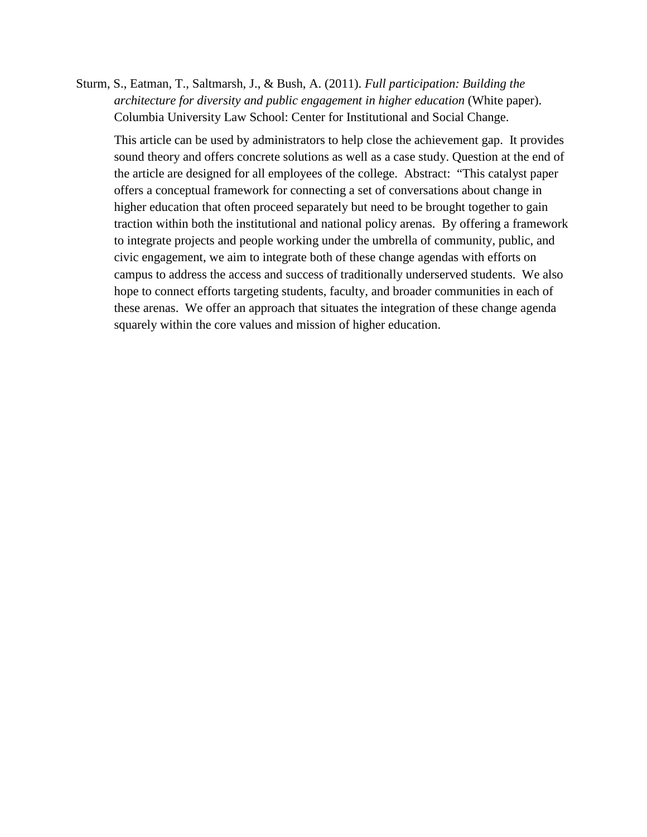Sturm, S., Eatman, T., Saltmarsh, J., & Bush, A. (2011). *Full participation: Building the architecture for diversity and public engagement in higher education* (White paper). Columbia University Law School: Center for Institutional and Social Change.

This article can be used by administrators to help close the achievement gap. It provides sound theory and offers concrete solutions as well as a case study. Question at the end of the article are designed for all employees of the college. Abstract: "This catalyst paper offers a conceptual framework for connecting a set of conversations about change in higher education that often proceed separately but need to be brought together to gain traction within both the institutional and national policy arenas. By offering a framework to integrate projects and people working under the umbrella of community, public, and civic engagement, we aim to integrate both of these change agendas with efforts on campus to address the access and success of traditionally underserved students. We also hope to connect efforts targeting students, faculty, and broader communities in each of these arenas. We offer an approach that situates the integration of these change agenda squarely within the core values and mission of higher education.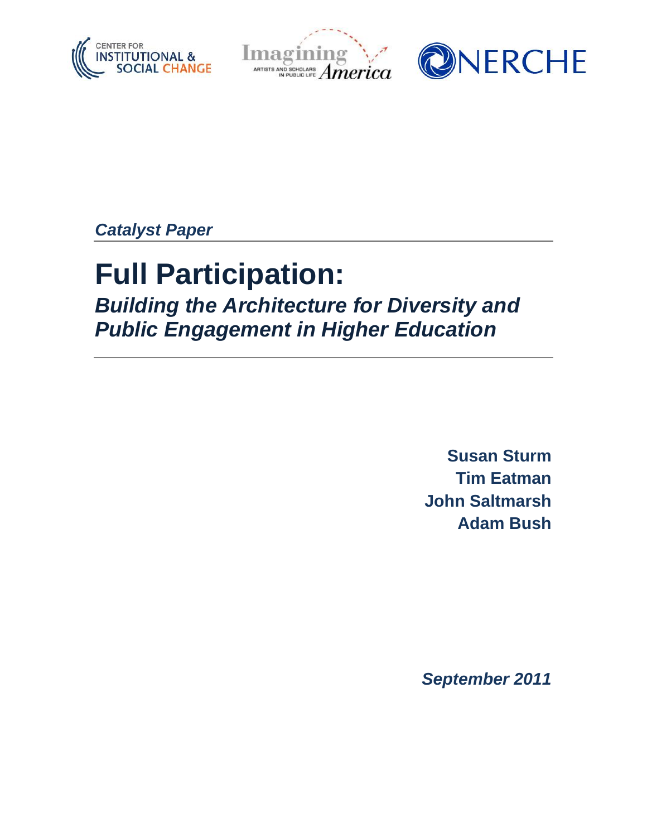





*Catalyst Paper*

# **Full Participation:**

*Building the Architecture for Diversity and Public Engagement in Higher Education*

> **Susan Sturm Tim Eatman John Saltmarsh Adam Bush**

*September 2011*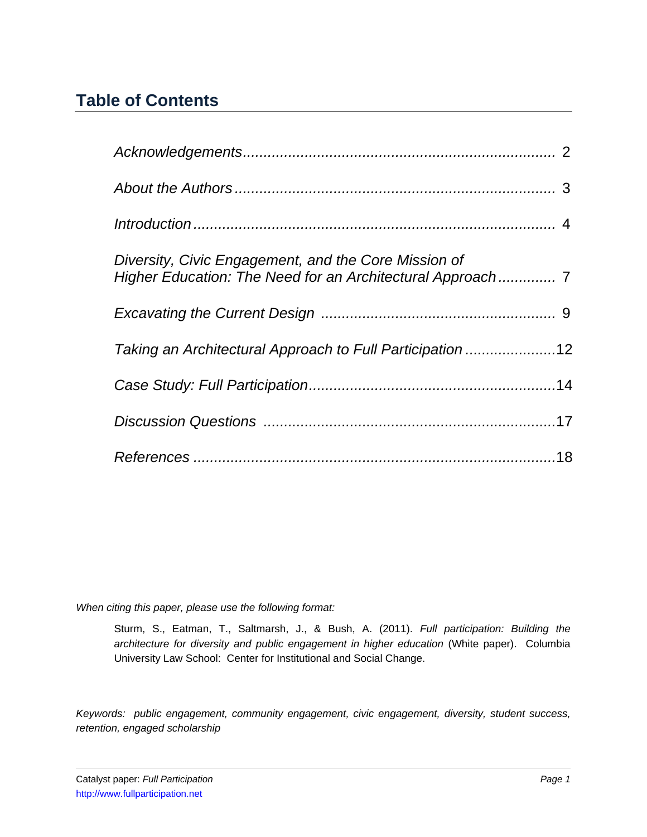# **Table of Contents**

| Diversity, Civic Engagement, and the Core Mission of<br>Higher Education: The Need for an Architectural Approach 7 |  |
|--------------------------------------------------------------------------------------------------------------------|--|
|                                                                                                                    |  |
| Taking an Architectural Approach to Full Participation 12                                                          |  |
|                                                                                                                    |  |
|                                                                                                                    |  |
|                                                                                                                    |  |

*When citing this paper, please use the following format:*

Sturm, S., Eatman, T., Saltmarsh, J., & Bush, A. (2011). *Full participation: Building the architecture for diversity and public engagement in higher education* (White paper). Columbia University Law School: Center for Institutional and Social Change.

*Keywords: public engagement, community engagement, civic engagement, diversity, student success, retention, engaged scholarship*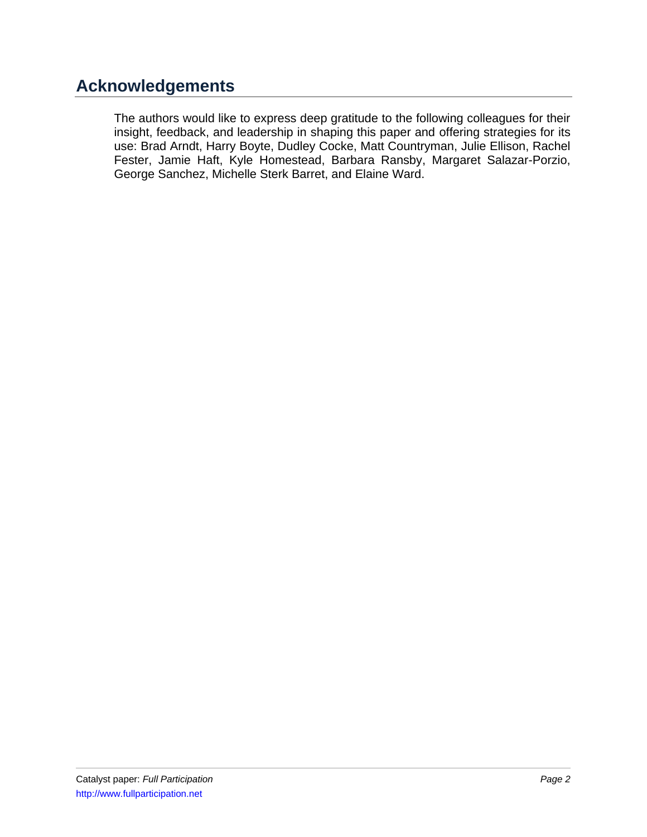# **Acknowledgements**

The authors would like to express deep gratitude to the following colleagues for their insight, feedback, and leadership in shaping this paper and offering strategies for its use: Brad Arndt, Harry Boyte, Dudley Cocke, Matt Countryman, Julie Ellison, Rachel Fester, Jamie Haft, Kyle Homestead, Barbara Ransby, Margaret Salazar-Porzio, George Sanchez, Michelle Sterk Barret, and Elaine Ward.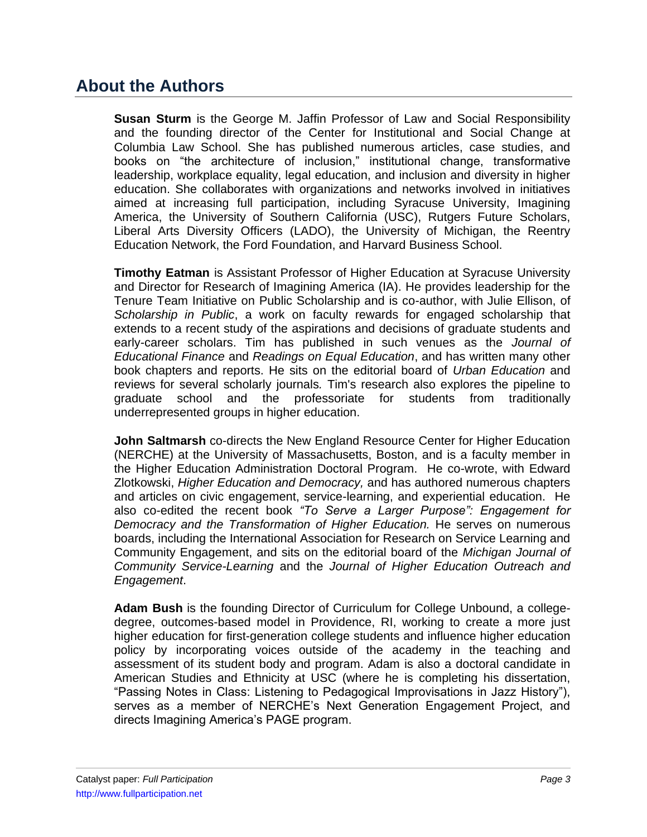## **About the Authors**

**Susan Sturm** is the George M. Jaffin Professor of Law and Social Responsibility and the founding director of the Center for Institutional and Social Change at Columbia Law School. She has published numerous articles, case studies, and books on "the architecture of inclusion," institutional change, transformative leadership, workplace equality, legal education, and inclusion and diversity in higher education. She collaborates with organizations and networks involved in initiatives aimed at increasing full participation, including Syracuse University, Imagining America, the University of Southern California (USC), Rutgers Future Scholars, Liberal Arts Diversity Officers (LADO), the University of Michigan, the Reentry Education Network, the Ford Foundation, and Harvard Business School.

**Timothy Eatman** is Assistant Professor of Higher Education at Syracuse University and Director for Research of Imagining America (IA). He provides leadership for the Tenure Team Initiative on Public Scholarship and is co-author, with Julie Ellison, of *Scholarship in Public*, a work on faculty rewards for engaged scholarship that extends to a recent study of the aspirations and decisions of graduate students and early-career scholars. Tim has published in such venues as the *Journal of Educational Finance* and *Readings on Equal Education*, and has written many other book chapters and reports. He sits on the editorial board of *Urban Education* and reviews for several scholarly journals*.* Tim's research also explores the pipeline to graduate school and the professoriate for students from traditionally underrepresented groups in higher education.

**John Saltmarsh** co-directs the New England Resource Center for Higher Education (NERCHE) at the University of Massachusetts, Boston, and is a faculty member in the Higher Education Administration Doctoral Program. He co-wrote, with Edward Zlotkowski, *Higher Education and Democracy,* and has authored numerous chapters and articles on civic engagement, service-learning, and experiential education. He also co-edited the recent book *"To Serve a Larger Purpose": Engagement for Democracy and the Transformation of Higher Education.* He serves on numerous boards, including the International Association for Research on Service Learning and Community Engagement, and sits on the editorial board of the *Michigan Journal of Community Service-Learning* and the *Journal of Higher Education Outreach and Engagement*.

**Adam Bush** is the founding Director of Curriculum for College Unbound, a collegedegree, outcomes-based model in Providence, RI, working to create a more just higher education for first-generation college students and influence higher education policy by incorporating voices outside of the academy in the teaching and assessment of its student body and program. Adam is also a doctoral candidate in American Studies and Ethnicity at USC (where he is completing his dissertation, "Passing Notes in Class: Listening to Pedagogical Improvisations in Jazz History"), serves as a member of NERCHE's Next Generation Engagement Project, and directs Imagining America's PAGE program.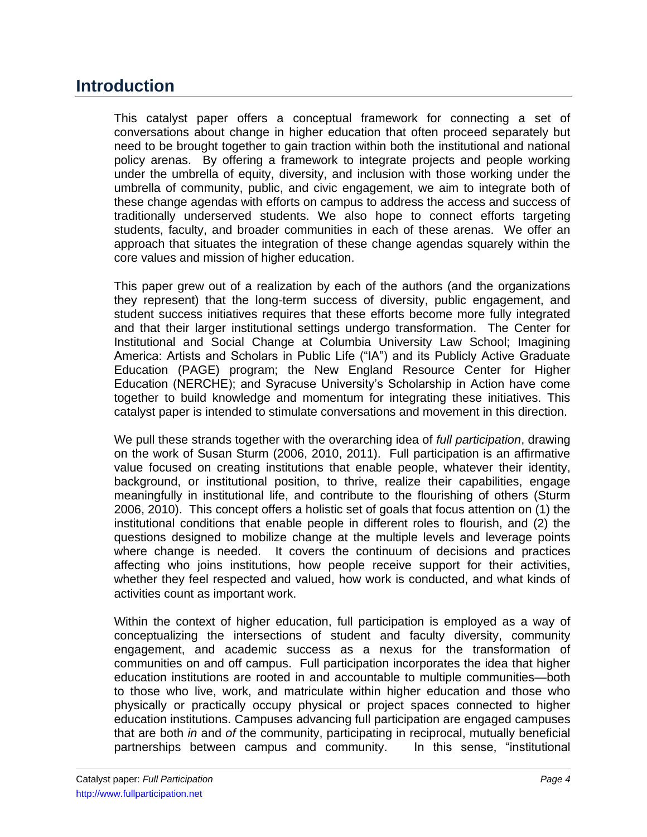## **Introduction**

This catalyst paper offers a conceptual framework for connecting a set of conversations about change in higher education that often proceed separately but need to be brought together to gain traction within both the institutional and national policy arenas. By offering a framework to integrate projects and people working under the umbrella of equity, diversity, and inclusion with those working under the umbrella of community, public, and civic engagement, we aim to integrate both of these change agendas with efforts on campus to address the access and success of traditionally underserved students. We also hope to connect efforts targeting students, faculty, and broader communities in each of these arenas. We offer an approach that situates the integration of these change agendas squarely within the core values and mission of higher education.

This paper grew out of a realization by each of the authors (and the organizations they represent) that the long-term success of diversity, public engagement, and student success initiatives requires that these efforts become more fully integrated and that their larger institutional settings undergo transformation. The Center for Institutional and Social Change at Columbia University Law School; Imagining America: Artists and Scholars in Public Life ("IA") and its Publicly Active Graduate Education (PAGE) program; the New England Resource Center for Higher Education (NERCHE); and Syracuse University's Scholarship in Action have come together to build knowledge and momentum for integrating these initiatives. This catalyst paper is intended to stimulate conversations and movement in this direction.

We pull these strands together with the overarching idea of *full participation*, drawing on the work of Susan Sturm (2006, 2010, 2011). Full participation is an affirmative value focused on creating institutions that enable people, whatever their identity, background, or institutional position, to thrive, realize their capabilities, engage meaningfully in institutional life, and contribute to the flourishing of others (Sturm 2006, 2010). This concept offers a holistic set of goals that focus attention on (1) the institutional conditions that enable people in different roles to flourish, and (2) the questions designed to mobilize change at the multiple levels and leverage points where change is needed. It covers the continuum of decisions and practices affecting who joins institutions, how people receive support for their activities, whether they feel respected and valued, how work is conducted, and what kinds of activities count as important work.

Within the context of higher education, full participation is employed as a way of conceptualizing the intersections of student and faculty diversity, community engagement, and academic success as a nexus for the transformation of communities on and off campus. Full participation incorporates the idea that higher education institutions are rooted in and accountable to multiple communities—both to those who live, work, and matriculate within higher education and those who physically or practically occupy physical or project spaces connected to higher education institutions. Campuses advancing full participation are engaged campuses that are both *in* and *of* the community, participating in reciprocal, mutually beneficial partnerships between campus and community. In this sense, "institutional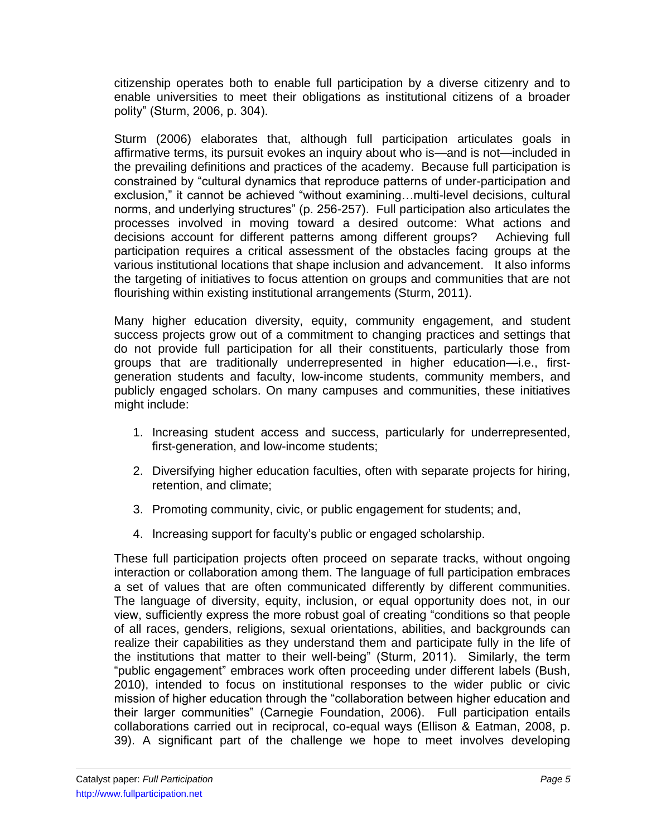citizenship operates both to enable full participation by a diverse citizenry and to enable universities to meet their obligations as institutional citizens of a broader polity" (Sturm, 2006, p. 304).

Sturm (2006) elaborates that, although full participation articulates goals in affirmative terms, its pursuit evokes an inquiry about who is—and is not—included in the prevailing definitions and practices of the academy. Because full participation is constrained by "cultural dynamics that reproduce patterns of under-participation and exclusion," it cannot be achieved "without examining...multi-level decisions, cultural norms, and underlying structures" (p. 256-257). Full participation also articulates the processes involved in moving toward a desired outcome: What actions and decisions account for different patterns among different groups? Achieving full participation requires a critical assessment of the obstacles facing groups at the various institutional locations that shape inclusion and advancement. It also informs the targeting of initiatives to focus attention on groups and communities that are not flourishing within existing institutional arrangements (Sturm, 2011).

Many higher education diversity, equity, community engagement, and student success projects grow out of a commitment to changing practices and settings that do not provide full participation for all their constituents, particularly those from groups that are traditionally underrepresented in higher education—i.e., firstgeneration students and faculty, low-income students, community members, and publicly engaged scholars. On many campuses and communities, these initiatives might include:

- 1. Increasing student access and success, particularly for underrepresented, first-generation, and low-income students;
- 2. Diversifying higher education faculties, often with separate projects for hiring, retention, and climate;
- 3. Promoting community, civic, or public engagement for students; and,
- 4. Increasing support for faculty's public or engaged scholarship.

These full participation projects often proceed on separate tracks, without ongoing interaction or collaboration among them. The language of full participation embraces a set of values that are often communicated differently by different communities. The language of diversity, equity, inclusion, or equal opportunity does not, in our view, sufficiently express the more robust goal of creating "conditions so that people of all races, genders, religions, sexual orientations, abilities, and backgrounds can realize their capabilities as they understand them and participate fully in the life of the institutions that matter to their well-being" (Sturm, 2011). Similarly, the term ―public engagement‖ embraces work often proceeding under different labels (Bush, 2010), intended to focus on institutional responses to the wider public or civic mission of higher education through the "collaboration between higher education and their larger communities" (Carnegie Foundation, 2006). Full participation entails collaborations carried out in reciprocal, co-equal ways (Ellison & Eatman, 2008, p. 39). A significant part of the challenge we hope to meet involves developing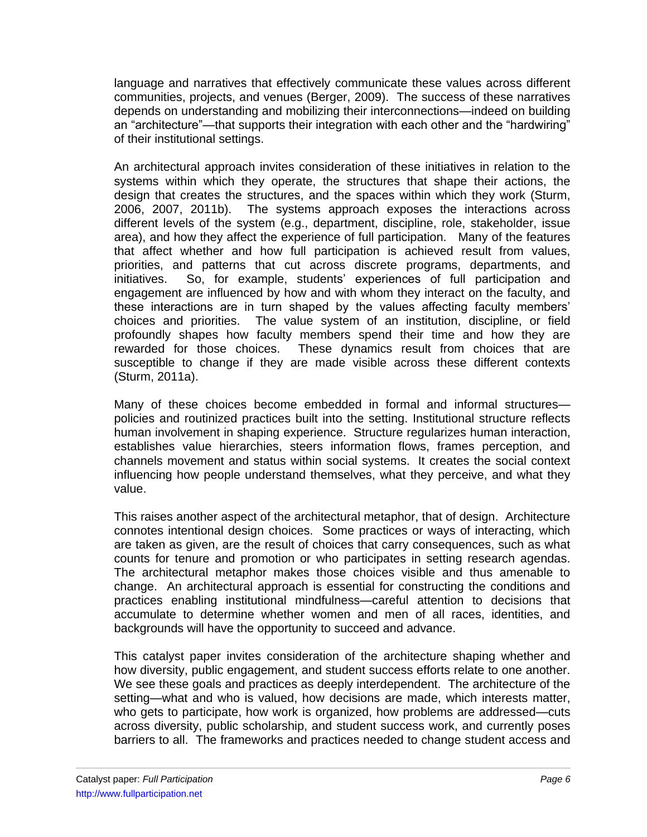language and narratives that effectively communicate these values across different communities, projects, and venues (Berger, 2009). The success of these narratives depends on understanding and mobilizing their interconnections—indeed on building an "architecture"—that supports their integration with each other and the "hardwiring" of their institutional settings.

An architectural approach invites consideration of these initiatives in relation to the systems within which they operate, the structures that shape their actions, the design that creates the structures, and the spaces within which they work (Sturm, 2006, 2007, 2011b). The systems approach exposes the interactions across different levels of the system (e.g., department, discipline, role, stakeholder, issue area), and how they affect the experience of full participation. Many of the features that affect whether and how full participation is achieved result from values, priorities, and patterns that cut across discrete programs, departments, and initiatives. So, for example, students' experiences of full participation and engagement are influenced by how and with whom they interact on the faculty, and these interactions are in turn shaped by the values affecting faculty members' choices and priorities. The value system of an institution, discipline, or field profoundly shapes how faculty members spend their time and how they are rewarded for those choices. These dynamics result from choices that are susceptible to change if they are made visible across these different contexts (Sturm, 2011a).

Many of these choices become embedded in formal and informal structures policies and routinized practices built into the setting. Institutional structure reflects human involvement in shaping experience. Structure regularizes human interaction, establishes value hierarchies, steers information flows, frames perception, and channels movement and status within social systems. It creates the social context influencing how people understand themselves, what they perceive, and what they value.

This raises another aspect of the architectural metaphor, that of design. Architecture connotes intentional design choices. Some practices or ways of interacting, which are taken as given, are the result of choices that carry consequences, such as what counts for tenure and promotion or who participates in setting research agendas. The architectural metaphor makes those choices visible and thus amenable to change. An architectural approach is essential for constructing the conditions and practices enabling institutional mindfulness—careful attention to decisions that accumulate to determine whether women and men of all races, identities, and backgrounds will have the opportunity to succeed and advance.

This catalyst paper invites consideration of the architecture shaping whether and how diversity, public engagement, and student success efforts relate to one another. We see these goals and practices as deeply interdependent. The architecture of the setting—what and who is valued, how decisions are made, which interests matter, who gets to participate, how work is organized, how problems are addressed—cuts across diversity, public scholarship, and student success work, and currently poses barriers to all. The frameworks and practices needed to change student access and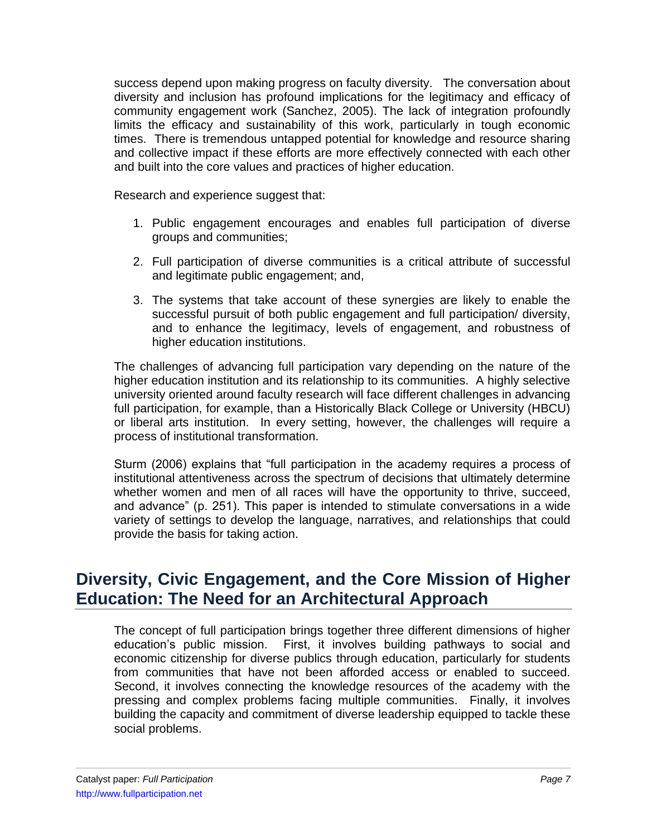success depend upon making progress on faculty diversity. The conversation about diversity and inclusion has profound implications for the legitimacy and efficacy of community engagement work (Sanchez, 2005). The lack of integration profoundly limits the efficacy and sustainability of this work, particularly in tough economic times. There is tremendous untapped potential for knowledge and resource sharing and collective impact if these efforts are more effectively connected with each other and built into the core values and practices of higher education.

Research and experience suggest that:

- 1. Public engagement encourages and enables full participation of diverse groups and communities;
- 2. Full participation of diverse communities is a critical attribute of successful and legitimate public engagement; and,
- 3. The systems that take account of these synergies are likely to enable the successful pursuit of both public engagement and full participation/ diversity, and to enhance the legitimacy, levels of engagement, and robustness of higher education institutions.

The challenges of advancing full participation vary depending on the nature of the higher education institution and its relationship to its communities. A highly selective university oriented around faculty research will face different challenges in advancing full participation, for example, than a Historically Black College or University (HBCU) or liberal arts institution. In every setting, however, the challenges will require a process of institutional transformation.

Sturm (2006) explains that "full participation in the academy requires a process of institutional attentiveness across the spectrum of decisions that ultimately determine whether women and men of all races will have the opportunity to thrive, succeed, and advance" (p. 251). This paper is intended to stimulate conversations in a wide variety of settings to develop the language, narratives, and relationships that could provide the basis for taking action.

### **Diversity, Civic Engagement, and the Core Mission of Higher Education: The Need for an Architectural Approach**

The concept of full participation brings together three different dimensions of higher education's public mission. First, it involves building pathways to social and economic citizenship for diverse publics through education, particularly for students from communities that have not been afforded access or enabled to succeed. Second, it involves connecting the knowledge resources of the academy with the pressing and complex problems facing multiple communities. Finally, it involves building the capacity and commitment of diverse leadership equipped to tackle these social problems.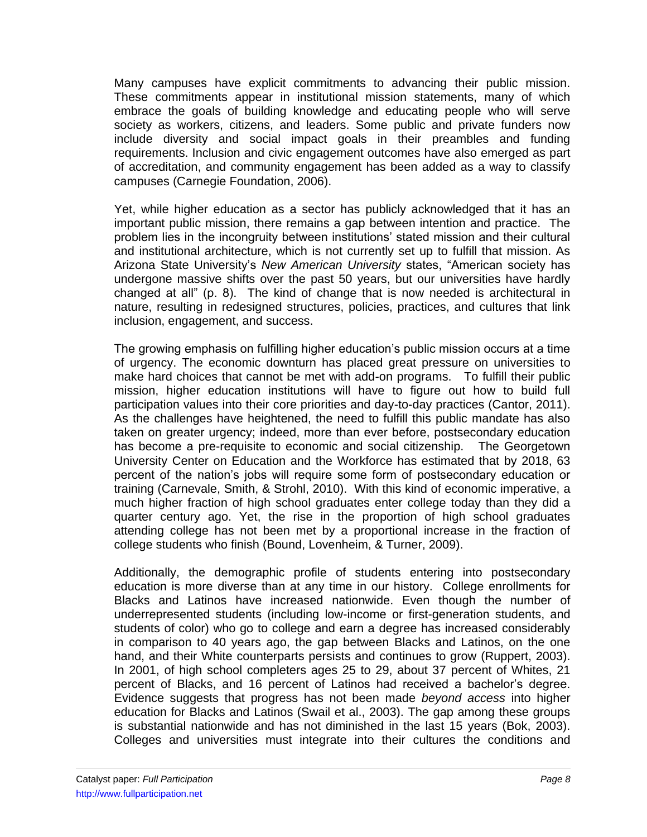Many campuses have explicit commitments to advancing their public mission. These commitments appear in institutional mission statements, many of which embrace the goals of building knowledge and educating people who will serve society as workers, citizens, and leaders. Some public and private funders now include diversity and social impact goals in their preambles and funding requirements. Inclusion and civic engagement outcomes have also emerged as part of accreditation, and community engagement has been added as a way to classify campuses (Carnegie Foundation, 2006).

Yet, while higher education as a sector has publicly acknowledged that it has an important public mission, there remains a gap between intention and practice. The problem lies in the incongruity between institutions' stated mission and their cultural and institutional architecture, which is not currently set up to fulfill that mission. As Arizona State University's *New American University* states, "American society has undergone massive shifts over the past 50 years, but our universities have hardly changed at all" (p. 8). The kind of change that is now needed is architectural in nature, resulting in redesigned structures, policies, practices, and cultures that link inclusion, engagement, and success.

The growing emphasis on fulfilling higher education's public mission occurs at a time of urgency. The economic downturn has placed great pressure on universities to make hard choices that cannot be met with add-on programs. To fulfill their public mission, higher education institutions will have to figure out how to build full participation values into their core priorities and day-to-day practices (Cantor, 2011). As the challenges have heightened, the need to fulfill this public mandate has also taken on greater urgency; indeed, more than ever before, postsecondary education has become a pre-requisite to economic and social citizenship. The Georgetown University Center on Education and the Workforce has estimated that by 2018, 63 percent of the nation's jobs will require some form of postsecondary education or training (Carnevale, Smith, & Strohl, 2010). With this kind of economic imperative, a much higher fraction of high school graduates enter college today than they did a quarter century ago. Yet, the rise in the proportion of high school graduates attending college has not been met by a proportional increase in the fraction of college students who finish (Bound, Lovenheim, & Turner, 2009).

Additionally, the demographic profile of students entering into postsecondary education is more diverse than at any time in our history. College enrollments for Blacks and Latinos have increased nationwide. Even though the number of underrepresented students (including low-income or first-generation students, and students of color) who go to college and earn a degree has increased considerably in comparison to 40 years ago, the gap between Blacks and Latinos, on the one hand, and their White counterparts persists and continues to grow (Ruppert, 2003). In 2001, of high school completers ages 25 to 29, about 37 percent of Whites, 21 percent of Blacks, and 16 percent of Latinos had received a bachelor's degree. Evidence suggests that progress has not been made *beyond access* into higher education for Blacks and Latinos (Swail et al., 2003). The gap among these groups is substantial nationwide and has not diminished in the last 15 years (Bok, 2003). Colleges and universities must integrate into their cultures the conditions and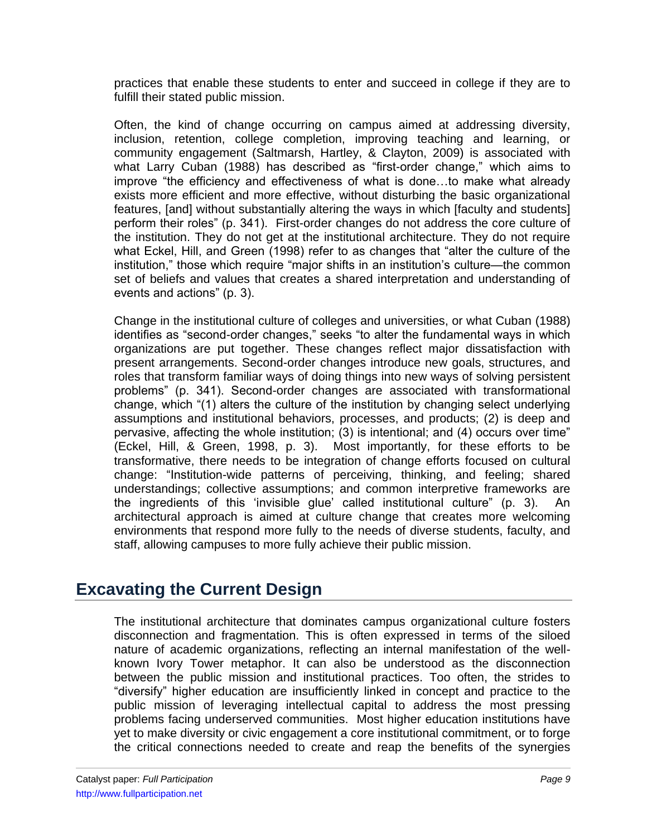practices that enable these students to enter and succeed in college if they are to fulfill their stated public mission.

Often, the kind of change occurring on campus aimed at addressing diversity, inclusion, retention, college completion, improving teaching and learning, or community engagement (Saltmarsh, Hartley, & Clayton, 2009) is associated with what Larry Cuban (1988) has described as "first-order change," which aims to improve "the efficiency and effectiveness of what is done...to make what already exists more efficient and more effective, without disturbing the basic organizational features, [and] without substantially altering the ways in which [faculty and students] perform their roles" (p. 341). First-order changes do not address the core culture of the institution. They do not get at the institutional architecture. They do not require what Eckel, Hill, and Green (1998) refer to as changes that "alter the culture of the institution," those which require "major shifts in an institution's culture—the common set of beliefs and values that creates a shared interpretation and understanding of events and actions" (p. 3).

Change in the institutional culture of colleges and universities, or what Cuban (1988) identifies as "second-order changes," seeks "to alter the fundamental ways in which organizations are put together. These changes reflect major dissatisfaction with present arrangements. Second-order changes introduce new goals, structures, and roles that transform familiar ways of doing things into new ways of solving persistent problems‖ (p. 341). Second-order changes are associated with transformational change, which "(1) alters the culture of the institution by changing select underlying assumptions and institutional behaviors, processes, and products; (2) is deep and pervasive, affecting the whole institution; (3) is intentional; and (4) occurs over time" (Eckel, Hill, & Green, 1998, p. 3). Most importantly, for these efforts to be transformative, there needs to be integration of change efforts focused on cultural change: "Institution-wide patterns of perceiving, thinking, and feeling; shared understandings; collective assumptions; and common interpretive frameworks are the ingredients of this 'invisible glue' called institutional culture" (p. 3). An architectural approach is aimed at culture change that creates more welcoming environments that respond more fully to the needs of diverse students, faculty, and staff, allowing campuses to more fully achieve their public mission.

# **Excavating the Current Design**

The institutional architecture that dominates campus organizational culture fosters disconnection and fragmentation. This is often expressed in terms of the siloed nature of academic organizations, reflecting an internal manifestation of the wellknown Ivory Tower metaphor. It can also be understood as the disconnection between the public mission and institutional practices. Too often, the strides to "diversify" higher education are insufficiently linked in concept and practice to the public mission of leveraging intellectual capital to address the most pressing problems facing underserved communities. Most higher education institutions have yet to make diversity or civic engagement a core institutional commitment, or to forge the critical connections needed to create and reap the benefits of the synergies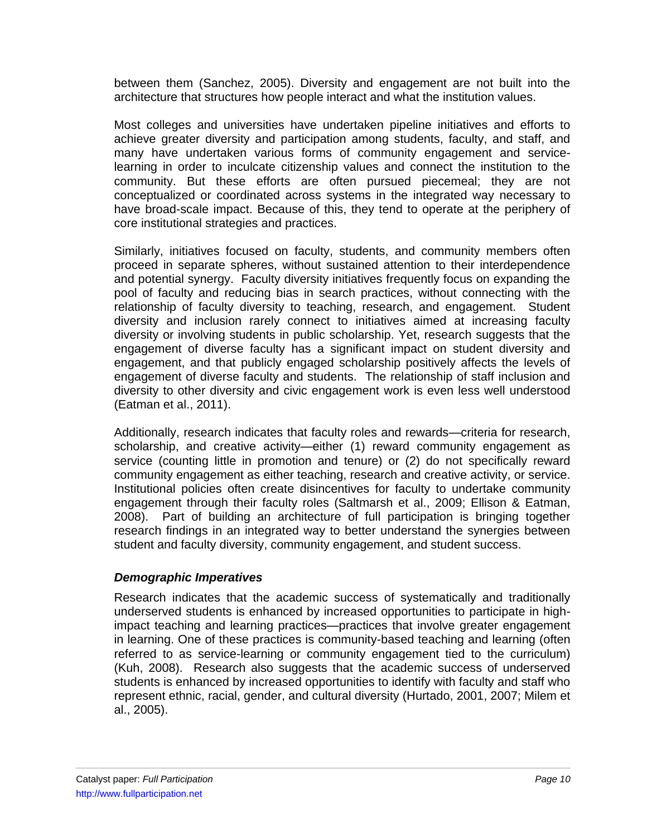between them (Sanchez, 2005). Diversity and engagement are not built into the architecture that structures how people interact and what the institution values.

Most colleges and universities have undertaken pipeline initiatives and efforts to achieve greater diversity and participation among students, faculty, and staff, and many have undertaken various forms of community engagement and servicelearning in order to inculcate citizenship values and connect the institution to the community. But these efforts are often pursued piecemeal; they are not conceptualized or coordinated across systems in the integrated way necessary to have broad-scale impact. Because of this, they tend to operate at the periphery of core institutional strategies and practices.

Similarly, initiatives focused on faculty, students, and community members often proceed in separate spheres, without sustained attention to their interdependence and potential synergy. Faculty diversity initiatives frequently focus on expanding the pool of faculty and reducing bias in search practices, without connecting with the relationship of faculty diversity to teaching, research, and engagement. Student diversity and inclusion rarely connect to initiatives aimed at increasing faculty diversity or involving students in public scholarship. Yet, research suggests that the engagement of diverse faculty has a significant impact on student diversity and engagement, and that publicly engaged scholarship positively affects the levels of engagement of diverse faculty and students. The relationship of staff inclusion and diversity to other diversity and civic engagement work is even less well understood (Eatman et al., 2011).

Additionally, research indicates that faculty roles and rewards—criteria for research, scholarship, and creative activity—either (1) reward community engagement as service (counting little in promotion and tenure) or (2) do not specifically reward community engagement as either teaching, research and creative activity, or service. Institutional policies often create disincentives for faculty to undertake community engagement through their faculty roles (Saltmarsh et al., 2009; Ellison & Eatman, 2008). Part of building an architecture of full participation is bringing together research findings in an integrated way to better understand the synergies between student and faculty diversity, community engagement, and student success.

#### *Demographic Imperatives*

Research indicates that the academic success of systematically and traditionally underserved students is enhanced by increased opportunities to participate in highimpact teaching and learning practices—practices that involve greater engagement in learning. One of these practices is community-based teaching and learning (often referred to as service-learning or community engagement tied to the curriculum) (Kuh, 2008). Research also suggests that the academic success of underserved students is enhanced by increased opportunities to identify with faculty and staff who represent ethnic, racial, gender, and cultural diversity (Hurtado, 2001, 2007; Milem et al., 2005).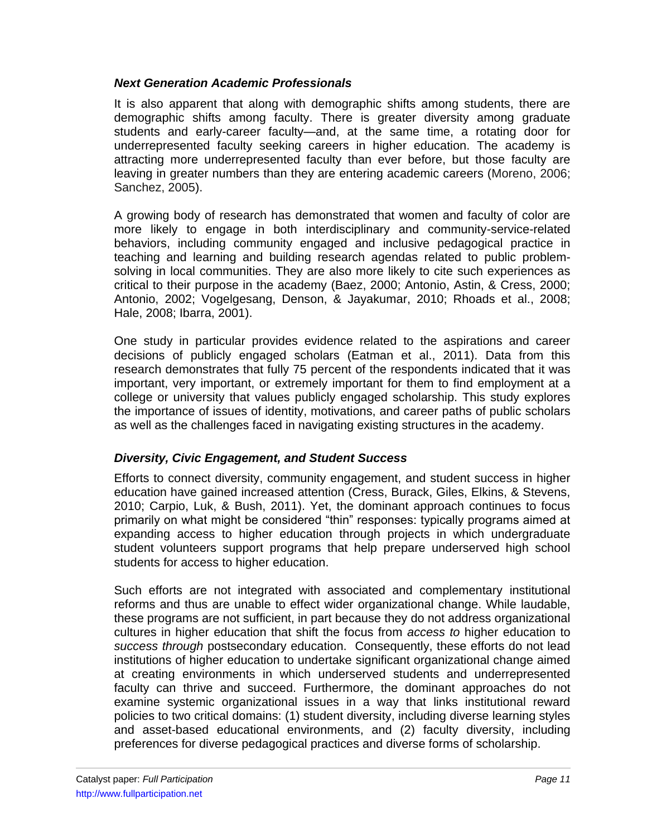#### *Next Generation Academic Professionals*

It is also apparent that along with demographic shifts among students, there are demographic shifts among faculty. There is greater diversity among graduate students and early-career faculty—and, at the same time, a rotating door for underrepresented faculty seeking careers in higher education. The academy is attracting more underrepresented faculty than ever before, but those faculty are leaving in greater numbers than they are entering academic careers (Moreno, 2006; Sanchez, 2005).

A growing body of research has demonstrated that women and faculty of color are more likely to engage in both interdisciplinary and community-service-related behaviors, including community engaged and inclusive pedagogical practice in teaching and learning and building research agendas related to public problemsolving in local communities. They are also more likely to cite such experiences as critical to their purpose in the academy (Baez, 2000; Antonio, Astin, & Cress, 2000; Antonio, 2002; Vogelgesang, Denson, & Jayakumar, 2010; Rhoads et al., 2008; Hale, 2008; Ibarra, 2001).

One study in particular provides evidence related to the aspirations and career decisions of publicly engaged scholars (Eatman et al., 2011). Data from this research demonstrates that fully 75 percent of the respondents indicated that it was important, very important, or extremely important for them to find employment at a college or university that values publicly engaged scholarship. This study explores the importance of issues of identity, motivations, and career paths of public scholars as well as the challenges faced in navigating existing structures in the academy.

#### *Diversity, Civic Engagement, and Student Success*

Efforts to connect diversity, community engagement, and student success in higher education have gained increased attention (Cress, Burack, Giles, Elkins, & Stevens, 2010; Carpio, Luk, & Bush, 2011). Yet, the dominant approach continues to focus primarily on what might be considered "thin" responses: typically programs aimed at expanding access to higher education through projects in which undergraduate student volunteers support programs that help prepare underserved high school students for access to higher education.

Such efforts are not integrated with associated and complementary institutional reforms and thus are unable to effect wider organizational change. While laudable, these programs are not sufficient, in part because they do not address organizational cultures in higher education that shift the focus from *access to* higher education to *success through* postsecondary education. Consequently, these efforts do not lead institutions of higher education to undertake significant organizational change aimed at creating environments in which underserved students and underrepresented faculty can thrive and succeed. Furthermore, the dominant approaches do not examine systemic organizational issues in a way that links institutional reward policies to two critical domains: (1) student diversity, including diverse learning styles and asset-based educational environments, and (2) faculty diversity, including preferences for diverse pedagogical practices and diverse forms of scholarship.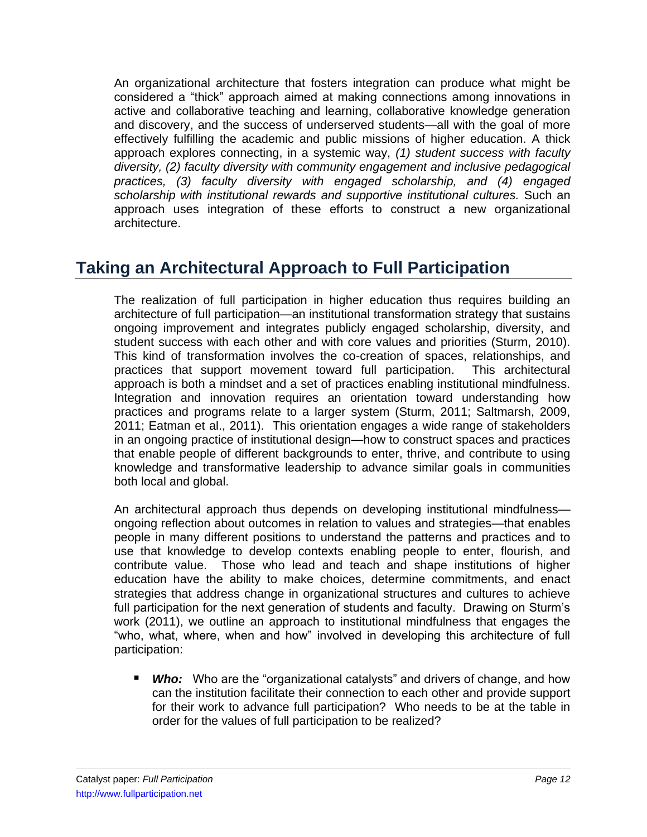An organizational architecture that fosters integration can produce what might be considered a "thick" approach aimed at making connections among innovations in active and collaborative teaching and learning, collaborative knowledge generation and discovery, and the success of underserved students—all with the goal of more effectively fulfilling the academic and public missions of higher education. A thick approach explores connecting, in a systemic way, *(1) student success with faculty diversity, (2) faculty diversity with community engagement and inclusive pedagogical practices, (3) faculty diversity with engaged scholarship, and (4) engaged scholarship with institutional rewards and supportive institutional cultures.* Such an approach uses integration of these efforts to construct a new organizational architecture.

# **Taking an Architectural Approach to Full Participation**

The realization of full participation in higher education thus requires building an architecture of full participation—an institutional transformation strategy that sustains ongoing improvement and integrates publicly engaged scholarship, diversity, and student success with each other and with core values and priorities (Sturm, 2010). This kind of transformation involves the co-creation of spaces, relationships, and practices that support movement toward full participation. This architectural approach is both a mindset and a set of practices enabling institutional mindfulness. Integration and innovation requires an orientation toward understanding how practices and programs relate to a larger system (Sturm, 2011; Saltmarsh, 2009, 2011; Eatman et al., 2011). This orientation engages a wide range of stakeholders in an ongoing practice of institutional design—how to construct spaces and practices that enable people of different backgrounds to enter, thrive, and contribute to using knowledge and transformative leadership to advance similar goals in communities both local and global.

An architectural approach thus depends on developing institutional mindfulness ongoing reflection about outcomes in relation to values and strategies—that enables people in many different positions to understand the patterns and practices and to use that knowledge to develop contexts enabling people to enter, flourish, and contribute value. Those who lead and teach and shape institutions of higher education have the ability to make choices, determine commitments, and enact strategies that address change in organizational structures and cultures to achieve full participation for the next generation of students and faculty. Drawing on Sturm's work (2011), we outline an approach to institutional mindfulness that engages the "who, what, where, when and how" involved in developing this architecture of full participation:

**Who:** Who are the "organizational catalysts" and drivers of change, and how can the institution facilitate their connection to each other and provide support for their work to advance full participation? Who needs to be at the table in order for the values of full participation to be realized?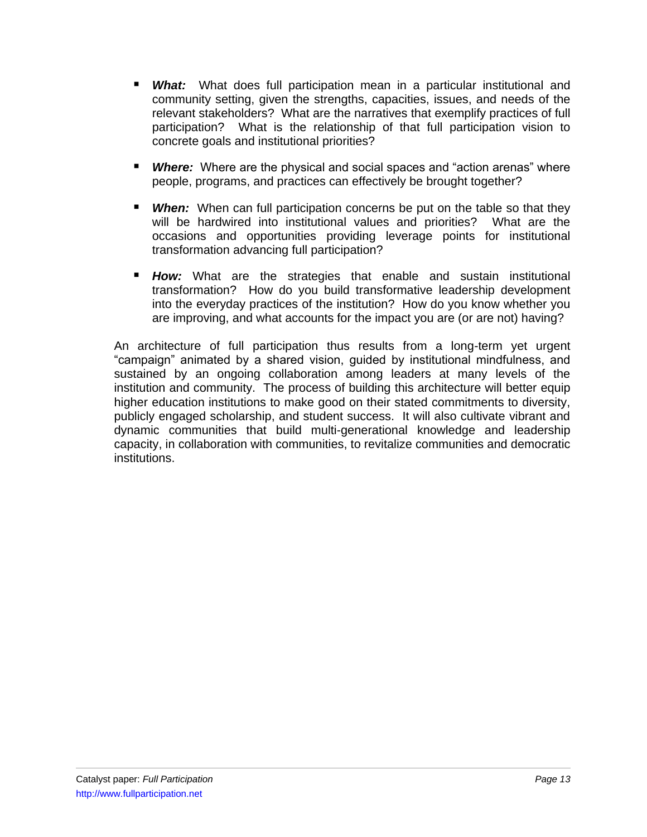- *What:* What does full participation mean in a particular institutional and community setting, given the strengths, capacities, issues, and needs of the relevant stakeholders? What are the narratives that exemplify practices of full participation? What is the relationship of that full participation vision to concrete goals and institutional priorities?
- **Where:** Where are the physical and social spaces and "action arenas" where people, programs, and practices can effectively be brought together?
- **When:** When can full participation concerns be put on the table so that they will be hardwired into institutional values and priorities? What are the occasions and opportunities providing leverage points for institutional transformation advancing full participation?
- **How:** What are the strategies that enable and sustain institutional transformation? How do you build transformative leadership development into the everyday practices of the institution? How do you know whether you are improving, and what accounts for the impact you are (or are not) having?

An architecture of full participation thus results from a long-term yet urgent ―campaign‖ animated by a shared vision, guided by institutional mindfulness, and sustained by an ongoing collaboration among leaders at many levels of the institution and community. The process of building this architecture will better equip higher education institutions to make good on their stated commitments to diversity, publicly engaged scholarship, and student success. It will also cultivate vibrant and dynamic communities that build multi-generational knowledge and leadership capacity, in collaboration with communities, to revitalize communities and democratic institutions.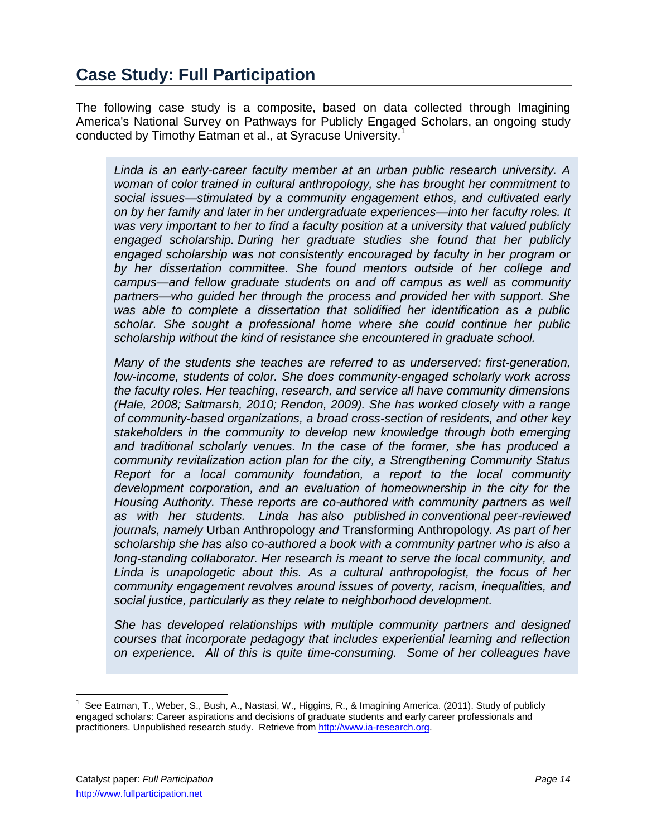The following case study is a composite, based on data collected through Imagining America's National Survey on Pathways for Publicly Engaged Scholars, an ongoing study conducted by Timothy Eatman et al., at Syracuse University.<sup>1</sup>

*Linda is an early-career faculty member at an urban public research university. A woman of color trained in cultural anthropology, she has brought her commitment to social issues—stimulated by a community engagement ethos, and cultivated early on by her family and later in her undergraduate experiences—into her faculty roles. It was very important to her to find a faculty position at a university that valued publicly engaged scholarship. During her graduate studies she found that her publicly engaged scholarship was not consistently encouraged by faculty in her program or by her dissertation committee. She found mentors outside of her college and campus—and fellow graduate students on and off campus as well as community partners—who guided her through the process and provided her with support. She was able to complete a dissertation that solidified her identification as a public scholar. She sought a professional home where she could continue her public scholarship without the kind of resistance she encountered in graduate school.*

*Many of the students she teaches are referred to as underserved: first-generation, low-income, students of color. She does community-engaged scholarly work across the faculty roles. Her teaching, research, and service all have community dimensions (Hale, 2008; Saltmarsh, 2010; Rendon, 2009). She has worked closely with a range of community-based organizations, a broad cross-section of residents, and other key stakeholders in the community to develop new knowledge through both emerging and traditional scholarly venues. In the case of the former, she has produced a community revitalization action plan for the city, a Strengthening Community Status Report for a local community foundation, a report to the local community development corporation, and an evaluation of homeownership in the city for the Housing Authority. These reports are co-authored with community partners as well as with her students. Linda has also published in conventional peer-reviewed journals, namely* Urban Anthropology *and* [Transforming Anthropology](http://www.tandf.co.uk/journals/titles/0046760X.asp)*. As part of her scholarship she has also co-authored a book with a community partner who is also a long-standing collaborator. Her research is meant to serve the local community, and Linda is unapologetic about this. As a cultural anthropologist, the focus of her community engagement revolves around issues of poverty, racism, inequalities, and social justice, particularly as they relate to neighborhood development.*

*She has developed relationships with multiple community partners and designed courses that incorporate pedagogy that includes experiential learning and reflection on experience. All of this is quite time-consuming. Some of her colleagues have* 

 $\overline{a}$ 

<sup>&</sup>lt;sup>1</sup> See Eatman, T., Weber, S., Bush, A., Nastasi, W., Higgins, R., & Imagining America. (2011). Study of publicly engaged scholars: Career aspirations and decisions of graduate students and early career professionals and practitioners. Unpublished research study. Retrieve fro[m http://www.ia-research.org.](http://www.ia-research.org/)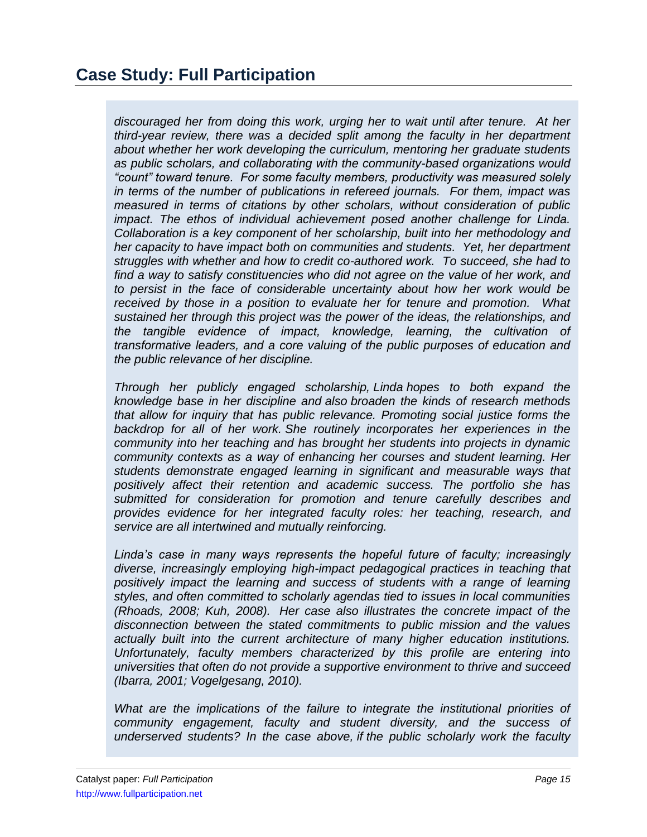*discouraged her from doing this work, urging her to wait until after tenure. At her third-year review, there was a decided split among the faculty in her department about whether her work developing the curriculum, mentoring her graduate students as public scholars, and collaborating with the community-based organizations would "count" toward tenure. For some faculty members, productivity was measured solely in terms of the number of publications in refereed journals. For them, impact was measured in terms of citations by other scholars, without consideration of public impact. The ethos of individual achievement posed another challenge for Linda. Collaboration is a key component of her scholarship, built into her methodology and her capacity to have impact both on communities and students. Yet, her department struggles with whether and how to credit co-authored work. To succeed, she had to*  find a way to satisfy constituencies who did not agree on the value of her work, and *to persist in the face of considerable uncertainty about how her work would be received by those in a position to evaluate her for tenure and promotion. What sustained her through this project was the power of the ideas, the relationships, and the tangible evidence of impact, knowledge, learning, the cultivation of transformative leaders, and a core valuing of the public purposes of education and the public relevance of her discipline.*

*Through her publicly engaged scholarship, Linda hopes to both expand the knowledge base in her discipline and also broaden the kinds of research methods that allow for inquiry that has public relevance. Promoting social justice forms the backdrop for all of her work. She routinely incorporates her experiences in the community into her teaching and has brought her students into projects in dynamic community contexts as a way of enhancing her courses and student learning. Her students demonstrate engaged learning in significant and measurable ways that positively affect their retention and academic success. The portfolio she has submitted for consideration for promotion and tenure carefully describes and provides evidence for her integrated faculty roles: her teaching, research, and service are all intertwined and mutually reinforcing.*

*Linda's case in many ways represents the hopeful future of faculty; increasingly diverse, increasingly employing high-impact pedagogical practices in teaching that positively impact the learning and success of students with a range of learning styles, and often committed to scholarly agendas tied to issues in local communities (Rhoads, 2008; Kuh, 2008). Her case also illustrates the concrete impact of the disconnection between the stated commitments to public mission and the values actually built into the current architecture of many higher education institutions. Unfortunately, faculty members characterized by this profile are entering into universities that often do not provide a supportive environment to thrive and succeed (Ibarra, 2001; Vogelgesang, 2010).*

*What are the implications of the failure to integrate the institutional priorities of community engagement, faculty and student diversity, and the success of underserved students? In the case above, if the public scholarly work the faculty*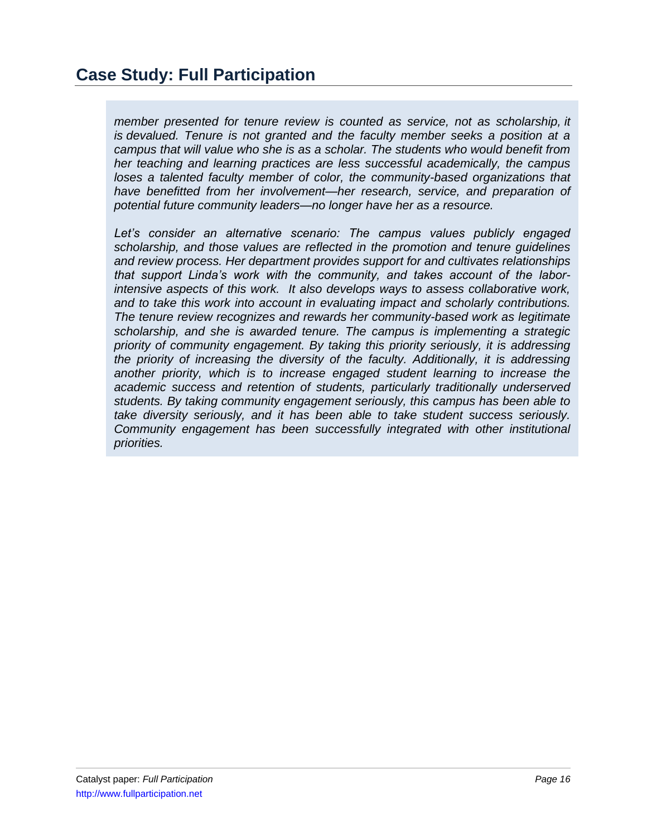## **Case Study: Full Participation**

*member presented for tenure review is counted as service, not as scholarship, it is devalued. Tenure is not granted and the faculty member seeks a position at a campus that will value who she is as a scholar. The students who would benefit from her teaching and learning practices are less successful academically, the campus loses a talented faculty member of color, the community-based organizations that* have benefitted from her involvement—her research, service, and preparation of *potential future community leaders—no longer have her as a resource.*

*Let's consider an alternative scenario: The campus values publicly engaged scholarship, and those values are reflected in the promotion and tenure guidelines and review process. Her department provides support for and cultivates relationships that support Linda's work with the community, and takes account of the laborintensive aspects of this work. It also develops ways to assess collaborative work, and to take this work into account in evaluating impact and scholarly contributions. The tenure review recognizes and rewards her community-based work as legitimate scholarship, and she is awarded tenure. The campus is implementing a strategic priority of community engagement. By taking this priority seriously, it is addressing the priority of increasing the diversity of the faculty. Additionally, it is addressing another priority, which is to increase engaged student learning to increase the academic success and retention of students, particularly traditionally underserved students. By taking community engagement seriously, this campus has been able to take diversity seriously, and it has been able to take student success seriously. Community engagement has been successfully integrated with other institutional priorities.*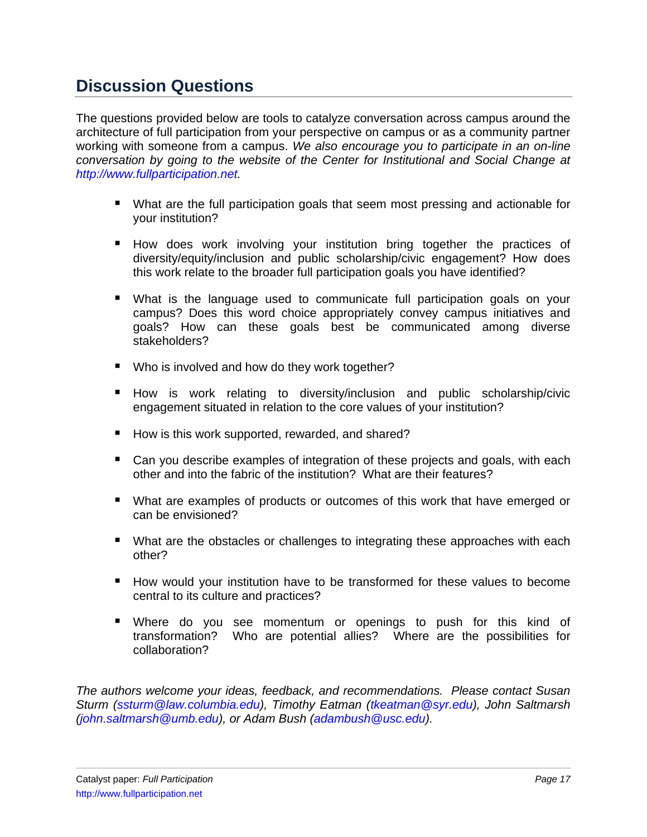# **Discussion Questions**

The questions provided below are tools to catalyze conversation across campus around the architecture of full participation from your perspective on campus or as a community partner working with someone from a campus. *We also encourage you to participate in an on-line conversation by going to the website of the Center for Institutional and Social Change at [http://www.fullparticipation.net.](http://www.fullparticipation.net/)*

- What are the full participation goals that seem most pressing and actionable for your institution?
- **How does work involving your institution bring together the practices of** diversity/equity/inclusion and public scholarship/civic engagement? How does this work relate to the broader full participation goals you have identified?
- What is the language used to communicate full participation goals on your campus? Does this word choice appropriately convey campus initiatives and goals? How can these goals best be communicated among diverse stakeholders?
- Who is involved and how do they work together?
- **How is work relating to diversity/inclusion and public scholarship/civic** engagement situated in relation to the core values of your institution?
- How is this work supported, rewarded, and shared?
- Can you describe examples of integration of these projects and goals, with each other and into the fabric of the institution? What are their features?
- What are examples of products or outcomes of this work that have emerged or can be envisioned?
- What are the obstacles or challenges to integrating these approaches with each other?
- How would your institution have to be transformed for these values to become central to its culture and practices?
- Where do you see momentum or openings to push for this kind of transformation? Who are potential allies? Where are the possibilities for collaboration?

*The authors welcome your ideas, feedback, and recommendations. Please contact Susan Sturm [\(ssturm@law.columbia.edu\)](mailto:ssturm@law.columbia.edu), Timothy Eatman [\(tkeatman@syr.edu\)](mailto:tkeatman@syr.edu), John Saltmarsh [\(john.saltmarsh@umb.edu\)](mailto:john.saltmarsh@umb.edu), or Adam Bush [\(adambush@usc.edu\)](mailto:adambush@usc.edu).*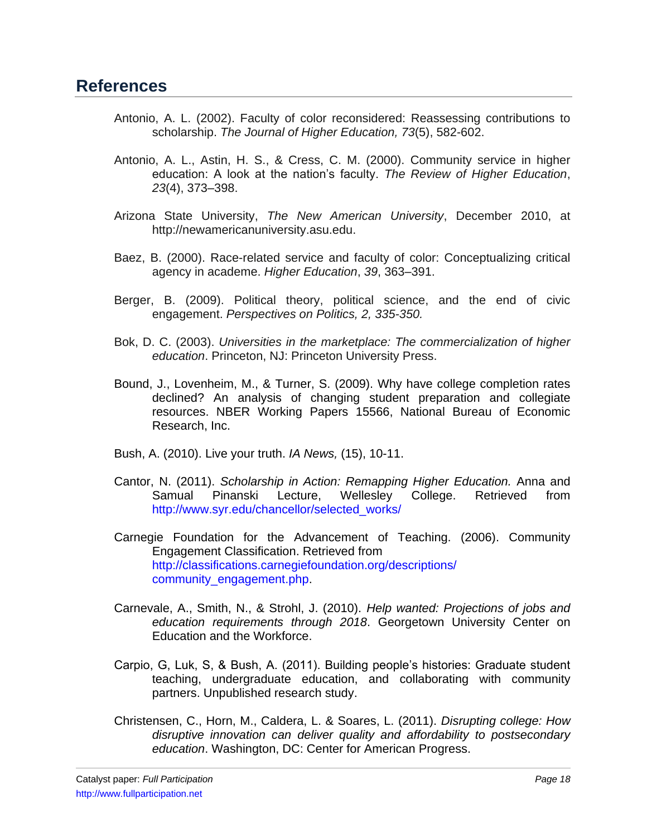- Antonio, A. L. (2002). Faculty of color reconsidered: Reassessing contributions to scholarship. *The Journal of Higher Education, 73*(5), 582-602.
- Antonio, A. L., Astin, H. S., & Cress, C. M. (2000). Community service in higher education: A look at the nation's faculty. *The Review of Higher Education*, *23*(4), 373–398.
- Arizona State University, *The New American University*, December 2010, at http://newamericanuniversity.asu.edu.
- Baez, B. (2000). Race-related service and faculty of color: Conceptualizing critical agency in academe. *Higher Education*, *39*, 363–391.
- Berger, B. (2009). Political theory, political science, and the end of civic engagement. *Perspectives on Politics, 2, 335-350.*
- Bok, D. C. (2003). *Universities in the marketplace: The commercialization of higher education*. Princeton, NJ: Princeton University Press.
- Bound, J., Lovenheim, M., & Turner, S. (2009). Why have college completion rates declined? An analysis of changing student preparation and collegiate resources. NBER Working Papers 15566, National Bureau of Economic Research, Inc.
- Bush, A. (2010). Live your truth. *IA News,* (15), 10-11.
- Cantor, N. (2011). *Scholarship in Action: Remapping Higher Education.* Anna and Samual Pinanski Lecture, Wellesley College. Retrieved from [http://www.syr.edu/chancellor/selected\\_works/](http://www.syr.edu/chancellor/selected_works/)
- Carnegie Foundation for the Advancement of Teaching. (2006). Community Engagement Classification. Retrieved from [http://classifications.carnegiefoundation.org/descriptions/](http://classifications.carnegiefoundation.org/descriptions/community_engagement.php) [community\\_engagement.php.](http://classifications.carnegiefoundation.org/descriptions/community_engagement.php)
- Carnevale, A., Smith, N., & Strohl, J. (2010). *Help wanted: Projections of jobs and education requirements through 2018*. Georgetown University Center on Education and the Workforce.
- Carpio, G, Luk, S, & Bush, A. (2011). Building people's histories: Graduate student teaching, undergraduate education, and collaborating with community partners. Unpublished research study.
- Christensen, C., Horn, M., Caldera, L. & Soares, L. (2011). *Disrupting college: How disruptive innovation can deliver quality and affordability to postsecondary education*. Washington, DC: Center for American Progress.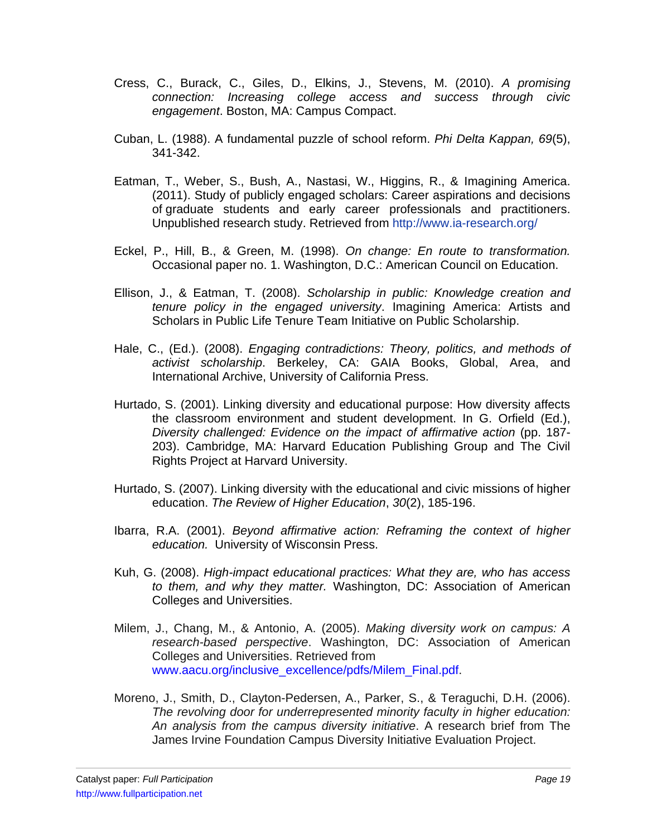- Cress, C., Burack, C., Giles, D., Elkins, J., Stevens, M. (2010). *A promising connection: Increasing college access and success through civic engagement*. Boston, MA: Campus Compact.
- Cuban, L. (1988). A fundamental puzzle of school reform. *Phi Delta Kappan, 69*(5), 341-342.
- Eatman, T., Weber, S., Bush, A., Nastasi, W., Higgins, R., & Imagining America. (2011). Study of publicly engaged scholars: Career aspirations and decisions of graduate students and early career professionals and practitioners. Unpublished research study. Retrieved from<http://www.ia-research.org/>
- Eckel, P., Hill, B., & Green, M. (1998). *On change: En route to transformation.*  Occasional paper no. 1. Washington, D.C.: American Council on Education.
- Ellison, J., & Eatman, T. (2008). *Scholarship in public: Knowledge creation and tenure policy in the engaged university*. Imagining America: Artists and Scholars in Public Life Tenure Team Initiative on Public Scholarship.
- Hale, C., (Ed.). (2008). *Engaging contradictions: Theory, politics, and methods of activist scholarship*. Berkeley, CA: GAIA Books, Global, Area, and International Archive, University of California Press.
- Hurtado, S. (2001). Linking diversity and educational purpose: How diversity affects the classroom environment and student development. In G. Orfield (Ed.), *Diversity challenged: Evidence on the impact of affirmative action* (pp. 187- 203). Cambridge, MA: Harvard Education Publishing Group and The Civil Rights Project at Harvard University.
- Hurtado, S. (2007). Linking diversity with the educational and civic missions of higher education. *The Review of Higher Education*, *30*(2), 185-196.
- Ibarra, R.A. (2001). *Beyond affirmative action: Reframing the context of higher education.* University of Wisconsin Press.
- Kuh, G. (2008). *High-impact educational practices: What they are, who has access to them, and why they matter.* Washington, DC: Association of American Colleges and Universities.
- Milem, J., Chang, M., & Antonio, A. (2005). *Making diversity work on campus: A research-based perspective*. Washington, DC: Association of American Colleges and Universities. Retrieved from [www.aacu.org/inclusive\\_excellence/pdfs/Milem\\_Final.pdf.](http://www.aacu.org/inclusive_excellence/pdfs/Milem_Final.pdf)
- Moreno, J., Smith, D., Clayton-Pedersen, A., Parker, S., & Teraguchi, D.H. (2006). *The revolving door for underrepresented minority faculty in higher education: An analysis from the campus diversity initiative*. A research brief from The James Irvine Foundation Campus Diversity Initiative Evaluation Project.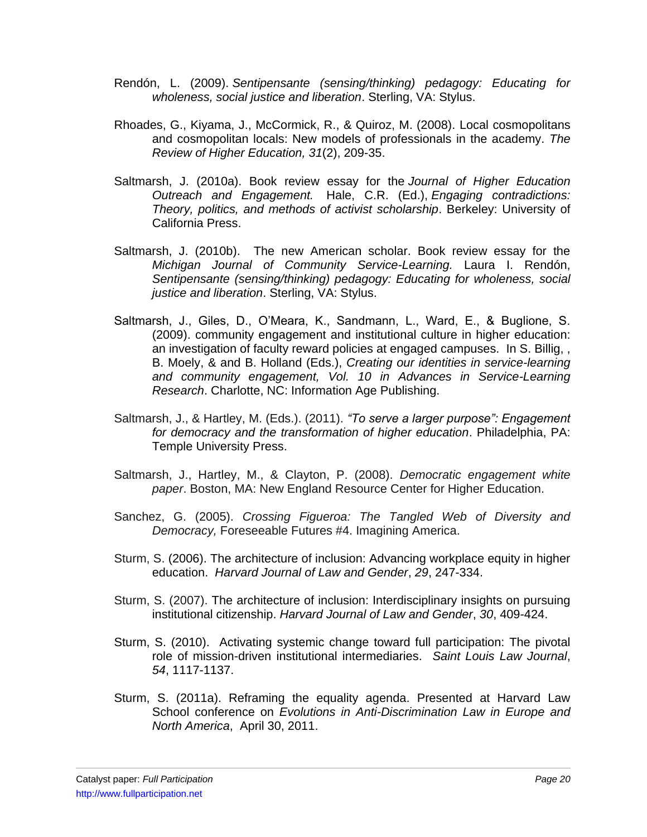- Rendón, L. (2009). *Sentipensante (sensing/thinking) pedagogy: Educating for wholeness, social justice and liberation*. Sterling, VA: Stylus.
- Rhoades, G., Kiyama, J., McCormick, R., & Quiroz, M. (2008). Local cosmopolitans and cosmopolitan locals: New models of professionals in the academy. *The Review of Higher Education, 31*(2), 209-35.
- Saltmarsh, J. (2010a). Book review essay for the *Journal of Higher Education Outreach and Engagement.* Hale, C.R. (Ed.), *Engaging contradictions: Theory, politics, and methods of activist scholarship*. Berkeley: University of California Press.
- Saltmarsh, J. (2010b). The new American scholar. Book review essay for the *Michigan Journal of Community Service-Learning.* Laura I. Rendón, *Sentipensante (sensing/thinking) pedagogy: Educating for wholeness, social justice and liberation*. Sterling, VA: Stylus.
- Saltmarsh, J., Giles, D., O'Meara, K., Sandmann, L., Ward, E., & Buglione, S. (2009). community engagement and institutional culture in higher education: an investigation of faculty reward policies at engaged campuses. In S. Billig, , B. Moely, & and B. Holland (Eds.), *Creating our identities in service-learning and community engagement, Vol. 10 in Advances in Service-Learning Research*. Charlotte, NC: Information Age Publishing.
- Saltmarsh, J., & Hartley, M. (Eds.). (2011). *"To serve a larger purpose": Engagement for democracy and the transformation of higher education*. Philadelphia, PA: Temple University Press.
- Saltmarsh, J., Hartley, M., & Clayton, P. (2008). *Democratic engagement white paper*. Boston, MA: New England Resource Center for Higher Education.
- Sanchez, G. (2005). *Crossing Figueroa: The Tangled Web of Diversity and Democracy,* Foreseeable Futures #4. Imagining America.
- Sturm, S. (2006). The architecture of inclusion: Advancing workplace equity in higher education. *Harvard Journal of Law and Gender*, *29*, 247-334.
- Sturm, S. (2007). The architecture of inclusion: Interdisciplinary insights on pursuing institutional citizenship. *Harvard Journal of Law and Gender*, *30*, 409-424.
- Sturm, S. (2010). Activating systemic change toward full participation: The pivotal role of mission-driven institutional intermediaries. *Saint Louis Law Journal*, *54*, 1117-1137.
- Sturm, S. (2011a). Reframing the equality agenda. Presented at Harvard Law School conference on *Evolutions in Anti-Discrimination Law in Europe and North America*, April 30, 2011.